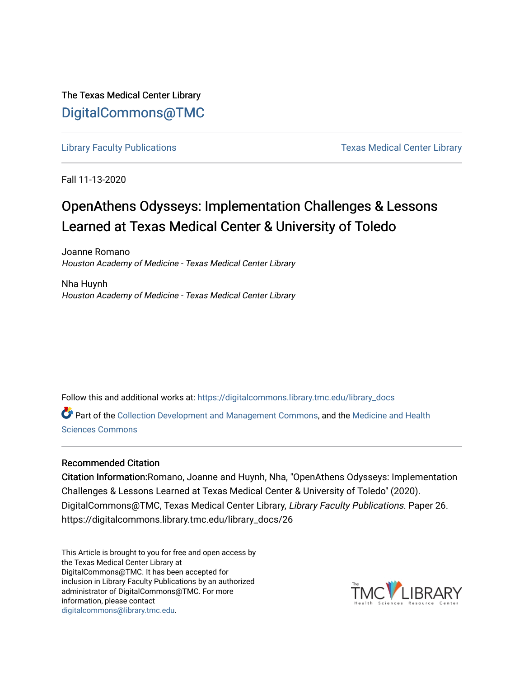The Texas Medical Center Library [DigitalCommons@TMC](https://digitalcommons.library.tmc.edu/) 

[Library Faculty Publications](https://digitalcommons.library.tmc.edu/library_docs) **Texas Medical Center Library** Cubrary

Fall 11-13-2020

## OpenAthens Odysseys: Implementation Challenges & Lessons Learned at Texas Medical Center & University of Toledo

Joanne Romano Houston Academy of Medicine - Texas Medical Center Library

Nha Huynh Houston Academy of Medicine - Texas Medical Center Library

Follow this and additional works at: [https://digitalcommons.library.tmc.edu/library\\_docs](https://digitalcommons.library.tmc.edu/library_docs?utm_source=digitalcommons.library.tmc.edu%2Flibrary_docs%2F26&utm_medium=PDF&utm_campaign=PDFCoverPages)

Part of the [Collection Development and Management Commons,](http://network.bepress.com/hgg/discipline/1271?utm_source=digitalcommons.library.tmc.edu%2Flibrary_docs%2F26&utm_medium=PDF&utm_campaign=PDFCoverPages) and the Medicine and Health [Sciences Commons](http://network.bepress.com/hgg/discipline/648?utm_source=digitalcommons.library.tmc.edu%2Flibrary_docs%2F26&utm_medium=PDF&utm_campaign=PDFCoverPages) 

## Recommended Citation

Citation Information:Romano, Joanne and Huynh, Nha, "OpenAthens Odysseys: Implementation Challenges & Lessons Learned at Texas Medical Center & University of Toledo" (2020). DigitalCommons@TMC, Texas Medical Center Library, Library Faculty Publications. Paper 26. https://digitalcommons.library.tmc.edu/library\_docs/26

This Article is brought to you for free and open access by the Texas Medical Center Library at DigitalCommons@TMC. It has been accepted for inclusion in Library Faculty Publications by an authorized administrator of DigitalCommons@TMC. For more information, please contact [digitalcommons@library.tmc.edu](mailto:digitalcommons@library.tmc.edu).